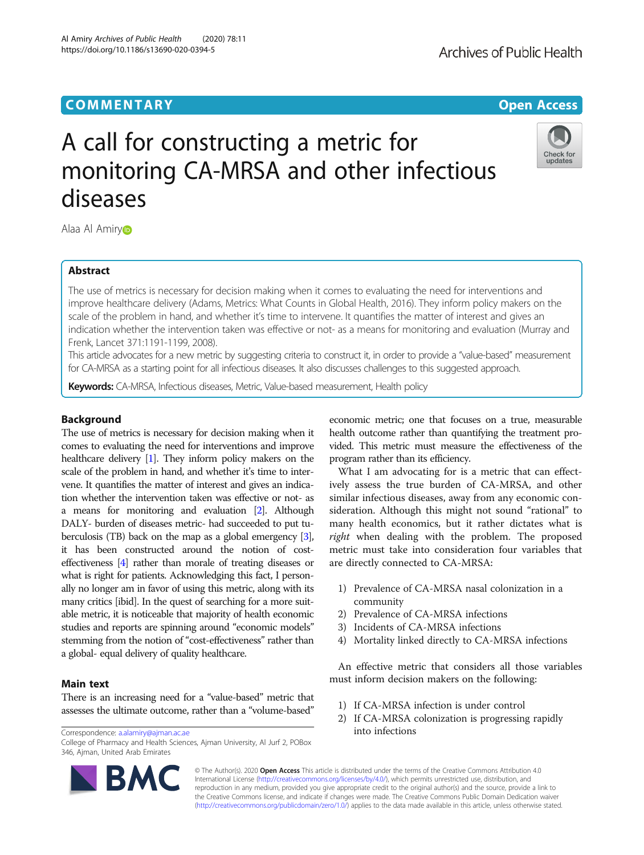Al Amiry Archives of Public Health (2020) 78:11 https://doi.org/10.1186/s13690-020-0394-5

Check for updates

# A call for constructing a metric for monitoring CA-MRSA and other infectious diseases

Alaa Al Amir[y](http://orcid.org/0000-0002-2614-9933)

# Abstract

The use of metrics is necessary for decision making when it comes to evaluating the need for interventions and improve healthcare delivery (Adams, Metrics: What Counts in Global Health, 2016). They inform policy makers on the scale of the problem in hand, and whether it's time to intervene. It quantifies the matter of interest and gives an indication whether the intervention taken was effective or not- as a means for monitoring and evaluation (Murray and Frenk, Lancet 371:1191-1199, 2008).

This article advocates for a new metric by suggesting criteria to construct it, in order to provide a "value-based" measurement for CA-MRSA as a starting point for all infectious diseases. It also discusses challenges to this suggested approach.

Keywords: CA-MRSA, Infectious diseases, Metric, Value-based measurement, Health policy

# Background

The use of metrics is necessary for decision making when it comes to evaluating the need for interventions and improve healthcare delivery [\[1\]](#page-1-0). They inform policy makers on the scale of the problem in hand, and whether it's time to intervene. It quantifies the matter of interest and gives an indication whether the intervention taken was effective or not- as a means for monitoring and evaluation [[2](#page-1-0)]. Although DALY- burden of diseases metric- had succeeded to put tuberculosis (TB) back on the map as a global emergency [\[3](#page-1-0)], it has been constructed around the notion of costeffectiveness [\[4\]](#page-1-0) rather than morale of treating diseases or what is right for patients. Acknowledging this fact, I personally no longer am in favor of using this metric, along with its many critics [ibid]. In the quest of searching for a more suitable metric, it is noticeable that majority of health economic studies and reports are spinning around "economic models" stemming from the notion of "cost-effectiveness" rather than a global- equal delivery of quality healthcare.

# Main text

There is an increasing need for a "value-based" metric that assesses the ultimate outcome, rather than a "volume-based"

Correspondence: [a.alamiry@ajman.ac.ae](mailto:a.alamiry@ajman.ac.ae)

College of Pharmacy and Health Sciences, Ajman University, Al Jurf 2, POBox 346, Ajman, United Arab Emirates



economic metric; one that focuses on a true, measurable health outcome rather than quantifying the treatment provided. This metric must measure the effectiveness of the program rather than its efficiency.

What I am advocating for is a metric that can effectively assess the true burden of CA-MRSA, and other similar infectious diseases, away from any economic consideration. Although this might not sound "rational" to many health economics, but it rather dictates what is right when dealing with the problem. The proposed metric must take into consideration four variables that are directly connected to CA-MRSA:

- 1) Prevalence of CA-MRSA nasal colonization in a community
- 2) Prevalence of CA-MRSA infections
- 3) Incidents of CA-MRSA infections
- 4) Mortality linked directly to CA-MRSA infections

An effective metric that considers all those variables must inform decision makers on the following:

- 1) If CA-MRSA infection is under control
- 2) If CA-MRSA colonization is progressing rapidly into infections

© The Author(s). 2020 **Open Access** This article is distributed under the terms of the Creative Commons Attribution 4.0 International License [\(http://creativecommons.org/licenses/by/4.0/](http://creativecommons.org/licenses/by/4.0/)), which permits unrestricted use, distribution, and reproduction in any medium, provided you give appropriate credit to the original author(s) and the source, provide a link to the Creative Commons license, and indicate if changes were made. The Creative Commons Public Domain Dedication waiver [\(http://creativecommons.org/publicdomain/zero/1.0/](http://creativecommons.org/publicdomain/zero/1.0/)) applies to the data made available in this article, unless otherwise stated.